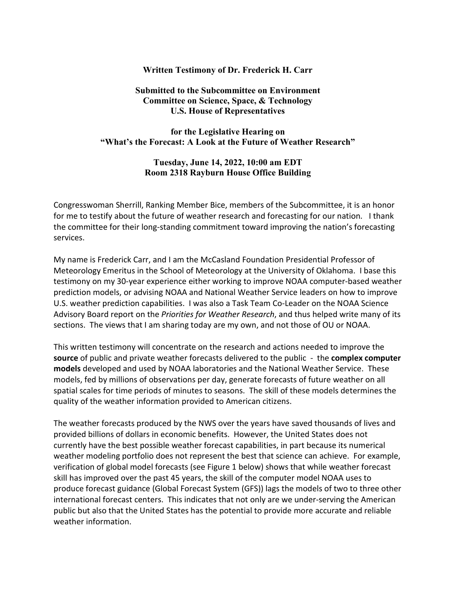#### **Written Testimony of Dr. Frederick H. Carr**

## **Submitted to the Subcommittee on Environment Committee on Science, Space, & Technology U.S. House of Representatives**

## **for the Legislative Hearing on "What's the Forecast: A Look at the Future of Weather Research"**

## **Tuesday, June 14, 2022, 10:00 am EDT Room 2318 Rayburn House Office Building**

Congresswoman Sherrill, Ranking Member Bice, members of the Subcommittee, it is an honor for me to testify about the future of weather research and forecasting for our nation*.* I thank the committee for their long-standing commitment toward improving the nation's forecasting services.

My name is Frederick Carr, and I am the McCasland Foundation Presidential Professor of Meteorology Emeritus in the School of Meteorology at the University of Oklahoma. I base this testimony on my 30-year experience either working to improve NOAA computer-based weather prediction models, or advising NOAA and National Weather Service leaders on how to improve U.S. weather prediction capabilities. I was also a Task Team Co-Leader on the NOAA Science Advisory Board report on the *Priorities for Weather Research*, and thus helped write many of its sections. The views that I am sharing today are my own, and not those of OU or NOAA.

This written testimony will concentrate on the research and actions needed to improve the **source** of public and private weather forecasts delivered to the public - the **complex computer models** developed and used by NOAA laboratories and the National Weather Service. These models, fed by millions of observations per day, generate forecasts of future weather on all spatial scales for time periods of minutes to seasons. The skill of these models determines the quality of the weather information provided to American citizens.

The weather forecasts produced by the NWS over the years have saved thousands of lives and provided billions of dollars in economic benefits. However, the United States does not currently have the best possible weather forecast capabilities, in part because its numerical weather modeling portfolio does not represent the best that science can achieve. For example, verification of global model forecasts (see Figure 1 below) shows that while weather forecast skill has improved over the past 45 years, the skill of the computer model NOAA uses to produce forecast guidance (Global Forecast System (GFS)) lags the models of two to three other international forecast centers. This indicates that not only are we under-serving the American public but also that the United States has the potential to provide more accurate and reliable weather information.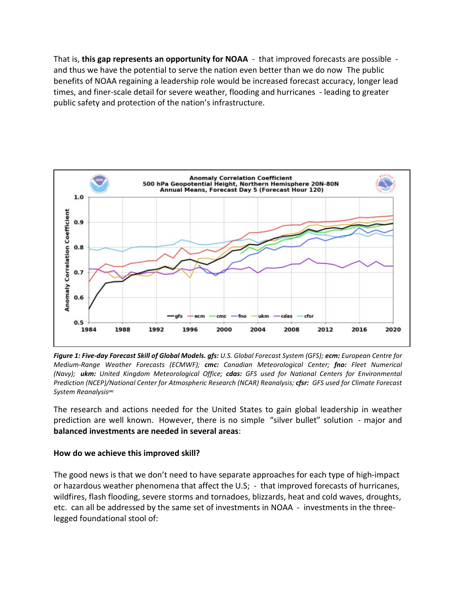That is, **this gap represents an opportunity for NOAA** - that improved forecasts are possible and thus we have the potential to serve the nation even better than we do now The public benefits of NOAA regaining a leadership role would be increased forecast accuracy, longer lead times, and finer-scale detail for severe weather, flooding and hurricanes - leading to greater public safety and protection of the nation's infrastructure.



*Figure 1: Five-day Forecast Skill of Global Models. gfs: U.S. Global Forecast System (GFS); ecm: European Centre for Medium-Range Weather Forecasts (ECMWF); cmc: Canadian Meteorological Center; fno: Fleet Numerical (Navy); ukm: United Kingdom Meteorological Office; cdas: GFS used for National Centers for Environmental Prediction (NCEP)/National Center for Atmospheric Research (NCAR) Reanalysis; cfsr: GFS used for Climate Forecast System Reanalysis***[30]**

The research and actions needed for the United States to gain global leadership in weather prediction are well known. However, there is no simple "silver bullet" solution - major and **balanced investments are needed in several areas**:

## **How do we achieve this improved skill?**

The good news is that we don't need to have separate approaches for each type of high-impact or hazardous weather phenomena that affect the U.S; - that improved forecasts of hurricanes, wildfires, flash flooding, severe storms and tornadoes, blizzards, heat and cold waves, droughts, etc. can all be addressed by the same set of investments in NOAA - investments in the threelegged foundational stool of: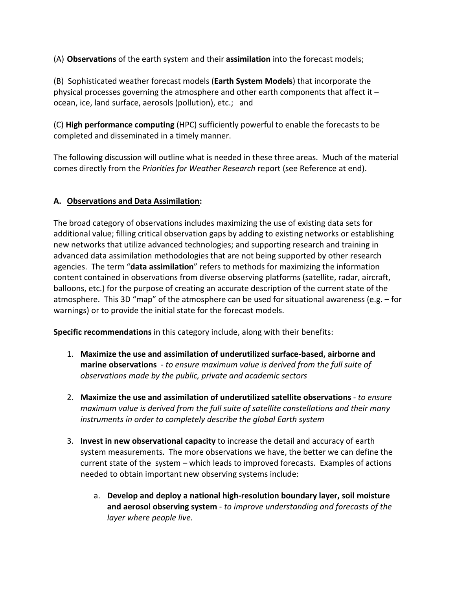(A) **Observations** of the earth system and their **assimilation** into the forecast models;

(B) Sophisticated weather forecast models (**Earth System Models**) that incorporate the physical processes governing the atmosphere and other earth components that affect it  $$ ocean, ice, land surface, aerosols (pollution), etc.; and

(C) **High performance computing** (HPC) sufficiently powerful to enable the forecasts to be completed and disseminated in a timely manner.

The following discussion will outline what is needed in these three areas. Much of the material comes directly from the *Priorities for Weather Research* report (see Reference at end).

# **A. Observations and Data Assimilation:**

The broad category of observations includes maximizing the use of existing data sets for additional value; filling critical observation gaps by adding to existing networks or establishing new networks that utilize advanced technologies; and supporting research and training in advanced data assimilation methodologies that are not being supported by other research agencies. The term "**data assimilation**" refers to methods for maximizing the information content contained in observations from diverse observing platforms (satellite, radar, aircraft, balloons, etc.) for the purpose of creating an accurate description of the current state of the atmosphere. This 3D "map" of the atmosphere can be used for situational awareness (e.g. – for warnings) or to provide the initial state for the forecast models.

**Specific recommendations** in this category include, along with their benefits:

- 1. **Maximize the use and assimilation of underutilized surface-based, airborne and marine observations** - *to ensure maximum value is derived from the full suite of observations made by the public, private and academic sectors*
- 2. **Maximize the use and assimilation of underutilized satellite observations** *to ensure maximum value is derived from the full suite of satellite constellations and their many instruments in order to completely describe the global Earth system*
- 3. **Invest in new observational capacity** to increase the detail and accuracy of earth system measurements. The more observations we have, the better we can define the current state of the system – which leads to improved forecasts. Examples of actions needed to obtain important new observing systems include:
	- a. **Develop and deploy a national high-resolution boundary layer, soil moisture and aerosol observing system** - *to improve understanding and forecasts of the layer where people live.*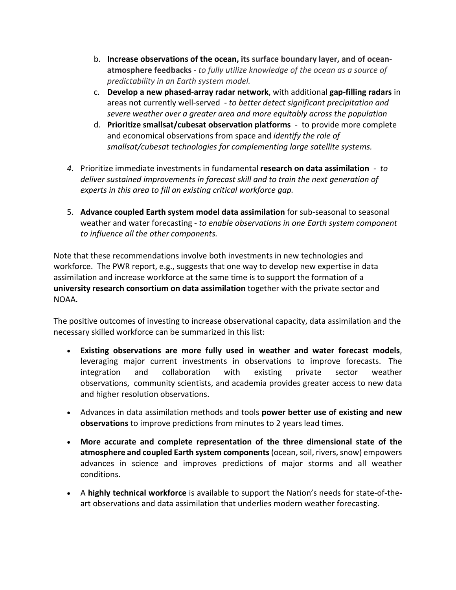- b. **Increase observations of the ocean, its surface boundary layer, and of oceanatmosphere feedbacks** - *to fully utilize knowledge of the ocean as a source of predictability in an Earth system model.*
- c. **Develop a new phased-array radar network**, with additional **gap-filling radars** in areas not currently well-served - *to better detect significant precipitation and severe weather over a greater area and more equitably across the population*
- d. **Prioritize smallsat/cubesat observation platforms** to provide more complete and economical observations from space and *identify the role of smallsat/cubesat technologies for complementing large satellite systems.*
- *4.* Prioritize immediate investments in fundamental **research on data assimilation**  *to deliver sustained improvements in forecast skill and to train the next generation of experts in this area to fill an existing critical workforce gap.*
- 5. **Advance coupled Earth system model data assimilation** for sub-seasonal to seasonal weather and water forecasting - *to enable observations in one Earth system component to influence all the other components.*

Note that these recommendations involve both investments in new technologies and workforce. The PWR report, e.g., suggests that one way to develop new expertise in data assimilation and increase workforce at the same time is to support the formation of a **university research consortium on data assimilation** together with the private sector and NOAA.

The positive outcomes of investing to increase observational capacity, data assimilation and the necessary skilled workforce can be summarized in this list:

- **Existing observations are more fully used in weather and water forecast models**, leveraging major current investments in observations to improve forecasts. The integration and collaboration with existing private sector weather observations, community scientists, and academia provides greater access to new data and higher resolution observations.
- Advances in data assimilation methods and tools **power better use of existing and new observations** to improve predictions from minutes to 2 years lead times.
- **More accurate and complete representation of the three dimensional state of the atmosphere and coupled Earth system components**(ocean, soil, rivers, snow) empowers advances in science and improves predictions of major storms and all weather conditions.
- A **highly technical workforce** is available to support the Nation's needs for state-of-theart observations and data assimilation that underlies modern weather forecasting.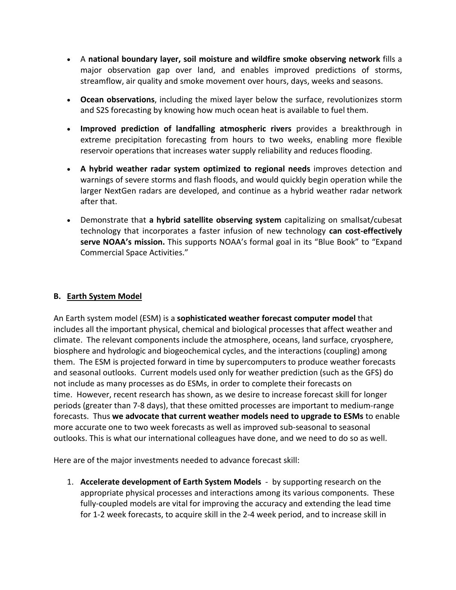- A **national boundary layer, soil moisture and wildfire smoke observing network** fills a major observation gap over land, and enables improved predictions of storms, streamflow, air quality and smoke movement over hours, days, weeks and seasons.
- **Ocean observations**, including the mixed layer below the surface, revolutionizes storm and S2S forecasting by knowing how much ocean heat is available to fuel them.
- **Improved prediction of landfalling atmospheric rivers** provides a breakthrough in extreme precipitation forecasting from hours to two weeks, enabling more flexible reservoir operations that increases water supply reliability and reduces flooding.
- **A hybrid weather radar system optimized to regional needs** improves detection and warnings of severe storms and flash floods, and would quickly begin operation while the larger NextGen radars are developed, and continue as a hybrid weather radar network after that.
- Demonstrate that **a hybrid satellite observing system** capitalizing on smallsat/cubesat technology that incorporates a faster infusion of new technology **can cost-effectively serve NOAA's mission.** This supports NOAA's formal goal in its "Blue Book" to "Expand Commercial Space Activities."

## **B. Earth System Model**

An Earth system model (ESM) is a **sophisticated weather forecast computer model** that includes all the important physical, chemical and biological processes that affect weather and climate. The relevant components include the atmosphere, oceans, land surface, cryosphere, biosphere and hydrologic and biogeochemical cycles, and the interactions (coupling) among them. The ESM is projected forward in time by supercomputers to produce weather forecasts and seasonal outlooks. Current models used only for weather prediction (such as the GFS) do not include as many processes as do ESMs, in order to complete their forecasts on time. However, recent research has shown, as we desire to increase forecast skill for longer periods (greater than 7-8 days), that these omitted processes are important to medium-range forecasts. Thus **we advocate that current weather models need to upgrade to ESMs** to enable more accurate one to two week forecasts as well as improved sub-seasonal to seasonal outlooks. This is what our international colleagues have done, and we need to do so as well.

Here are of the major investments needed to advance forecast skill:

1. **Accelerate development of Earth System Models** - by supporting research on the appropriate physical processes and interactions among its various components. These fully-coupled models are vital for improving the accuracy and extending the lead time for 1-2 week forecasts, to acquire skill in the 2-4 week period, and to increase skill in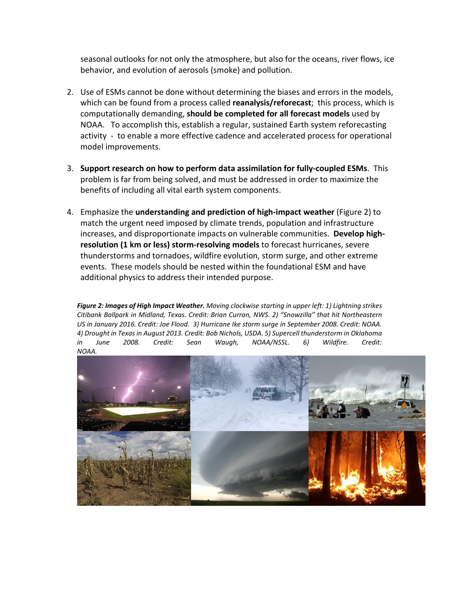seasonal outlooks for not only the atmosphere, but also for the oceans, river flows, ice behavior, and evolution of aerosols (smoke) and pollution.

- 2. Use of ESMs cannot be done without determining the biases and errors in the models, which can be found from a process called **reanalysis/reforecast**; this process, which is computationally demanding, **should be completed for all forecast models** used by NOAA. To accomplish this, establish a regular, sustained Earth system reforecasting activity - to enable a more effective cadence and accelerated process for operational model improvements.
- 3. **Support research on how to perform data assimilation for fully-coupled ESMs**. This problem is far from being solved, and must be addressed in order to maximize the benefits of including all vital earth system components.
- 4. Emphasize the **understanding and prediction of high-impact weather** (Figure 2) to match the urgent need imposed by climate trends, population and infrastructure increases, and disproportionate impacts on vulnerable communities. **Develop highresolution (1 km or less) storm-resolving models** to forecast hurricanes, severe thunderstorms and tornadoes, wildfire evolution, storm surge, and other extreme events. These models should be nested within the foundational ESM and have additional physics to address their intended purpose.

*Figure 2: Images of High Impact Weather. Moving clockwise starting in upper left: 1) Lightning strikes Citibank Ballpark in Midland, Texas. Credit: Brian Curran, NWS. 2) "Snowzilla" that hit Northeastern US in January 2016. Credit: Joe Flood. 3) Hurricane Ike storm surge in September 2008. Credit: NOAA. 4) Drought in Texas in August 2013. Credit: Bob Nichols, USDA. 5) Supercell thunderstorm in Oklahoma in June 2008. Credit: Sean Waugh, NOAA/NSSL. 6) Wildfire. Credit: NOAA.*

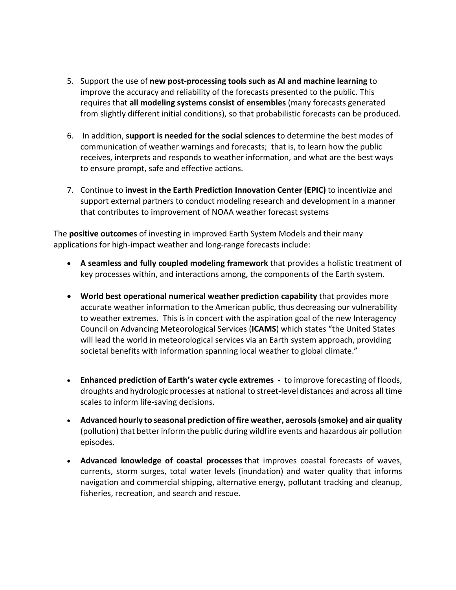- 5. Support the use of **new post-processing tools such as AI and machine learning** to improve the accuracy and reliability of the forecasts presented to the public. This requires that **all modeling systems consist of ensembles** (many forecasts generated from slightly different initial conditions), so that probabilistic forecasts can be produced.
- 6. In addition, **support is needed for the social sciences** to determine the best modes of communication of weather warnings and forecasts; that is, to learn how the public receives, interprets and responds to weather information, and what are the best ways to ensure prompt, safe and effective actions.
- 7. Continue to **invest in the Earth Prediction Innovation Center (EPIC)** to incentivize and support external partners to conduct modeling research and development in a manner that contributes to improvement of NOAA weather forecast systems

The **positive outcomes** of investing in improved Earth System Models and their many applications for high-impact weather and long-range forecasts include:

- **A seamless and fully coupled modeling framework** that provides a holistic treatment of key processes within, and interactions among, the components of the Earth system.
- **World best operational numerical weather prediction capability** that provides more accurate weather information to the American public, thus decreasing our vulnerability to weather extremes. This is in concert with the aspiration goal of the new Interagency Council on Advancing Meteorological Services (**ICAMS**) which states "the United States will lead the world in meteorological services via an Earth system approach, providing societal benefits with information spanning local weather to global climate."
- **Enhanced prediction of Earth's water cycle extremes** to improve forecasting of floods, droughts and hydrologic processes at national to street-level distances and across all time scales to inform life-saving decisions.
- **Advanced hourly to seasonal prediction of fire weather, aerosols (smoke) and air quality** (pollution) that better inform the public during wildfire events and hazardous air pollution episodes.
- **Advanced knowledge of coastal processes** that improves coastal forecasts of waves, currents, storm surges, total water levels (inundation) and water quality that informs navigation and commercial shipping, alternative energy, pollutant tracking and cleanup, fisheries, recreation, and search and rescue.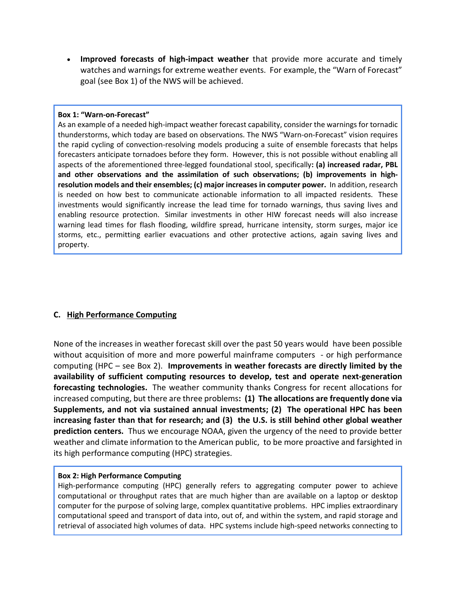• **Improved forecasts of high-impact weather** that provide more accurate and timely watches and warnings for extreme weather events. For example, the "Warn of Forecast" goal (see Box 1) of the NWS will be achieved.

#### **Box 1: "Warn-on-Forecast"**

As an example of a needed high-impact weather forecast capability, consider the warnings for tornadic thunderstorms, which today are based on observations. The NWS "Warn-on-Forecast" vision requires the rapid cycling of convection-resolving models producing a suite of ensemble forecasts that helps forecasters anticipate tornadoes before they form. However, this is not possible without enabling all aspects of the aforementioned three-legged foundational stool, specifically**: (a) increased radar, PBL and other observations and the assimilation of such observations; (b) improvements in highresolution models and their ensembles; (c) major increases in computer power.** In addition, research is needed on how best to communicate actionable information to all impacted residents. These investments would significantly increase the lead time for tornado warnings, thus saving lives and enabling resource protection. Similar investments in other HIW forecast needs will also increase warning lead times for flash flooding, wildfire spread, hurricane intensity, storm surges, major ice storms, etc., permitting earlier evacuations and other protective actions, again saving lives and property.

## **C. High Performance Computing**

None of the increases in weather forecast skill over the past 50 years would have been possible without acquisition of more and more powerful mainframe computers - or high performance computing (HPC – see Box 2). **Improvements in weather forecasts are directly limited by the availability of sufficient computing resources to develop, test and operate next-generation forecasting technologies.** The weather community thanks Congress for recent allocations for increased computing, but there are three problems**: (1) The allocations are frequently done via Supplements, and not via sustained annual investments; (2) The operational HPC has been increasing faster than that for research; and (3) the U.S. is still behind other global weather prediction centers.** Thus we encourage NOAA, given the urgency of the need to provide better weather and climate information to the American public, to be more proactive and farsighted in its high performance computing (HPC) strategies.

#### **Box 2: High Performance Computing**

High-performance computing (HPC) generally refers to aggregating computer power to achieve computational or throughput rates that are much higher than are available on a laptop or desktop computer for the purpose of solving large, complex quantitative problems. HPC implies extraordinary computational speed and transport of data into, out of, and within the system, and rapid storage and retrieval of associated high volumes of data. HPC systems include high-speed networks connecting to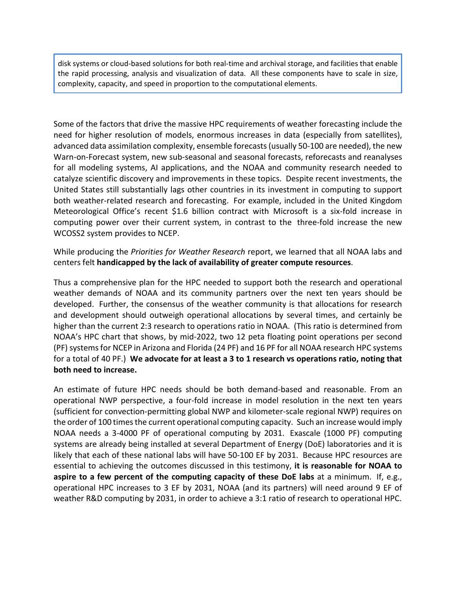disk systems or cloud-based solutions for both real-time and archival storage, and facilities that enable the rapid processing, analysis and visualization of data. All these components have to scale in size, complexity, capacity, and speed in proportion to the computational elements.

Some of the factors that drive the massive HPC requirements of weather forecasting include the need for higher resolution of models, enormous increases in data (especially from satellites), advanced data assimilation complexity, ensemble forecasts (usually 50-100 are needed), the new Warn-on-Forecast system, new sub-seasonal and seasonal forecasts, reforecasts and reanalyses for all modeling systems, AI applications, and the NOAA and community research needed to catalyze scientific discovery and improvements in these topics. Despite recent investments, the United States still substantially lags other countries in its investment in computing to support both weather-related research and forecasting. For example, included in the United Kingdom Meteorological Office's recent \$1.6 billion contract with Microsoft is a six-fold increase in computing power over their current system, in contrast to the three-fold increase the new WCOSS2 system provides to NCEP.

While producing the *Priorities for Weather Research* report, we learned that all NOAA labs and centers felt **handicapped by the lack of availability of greater compute resources**.

Thus a comprehensive plan for the HPC needed to support both the research and operational weather demands of NOAA and its community partners over the next ten years should be developed. Further, the consensus of the weather community is that allocations for research and development should outweigh operational allocations by several times, and certainly be higher than the current 2:3 research to operations ratio in NOAA. (This ratio is determined from NOAA's HPC chart that shows, by mid-2022, two 12 peta floating point operations per second (PF) systems for NCEP in Arizona and Florida (24 PF) and 16 PF for all NOAA research HPC systems for a total of 40 PF.) **We advocate for at least a 3 to 1 research vs operations ratio, noting that both need to increase.**

An estimate of future HPC needs should be both demand-based and reasonable. From an operational NWP perspective, a four-fold increase in model resolution in the next ten years (sufficient for convection-permitting global NWP and kilometer-scale regional NWP) requires on the order of 100 times the current operational computing capacity. Such an increase would imply NOAA needs a 3-4000 PF of operational computing by 2031. Exascale (1000 PF) computing systems are already being installed at several Department of Energy (DoE) laboratories and it is likely that each of these national labs will have 50-100 EF by 2031. Because HPC resources are essential to achieving the outcomes discussed in this testimony, **it is reasonable for NOAA to aspire to a few percent of the computing capacity of these DoE labs** at a minimum. If, e.g., operational HPC increases to 3 EF by 2031, NOAA (and its partners) will need around 9 EF of weather R&D computing by 2031, in order to achieve a 3:1 ratio of research to operational HPC.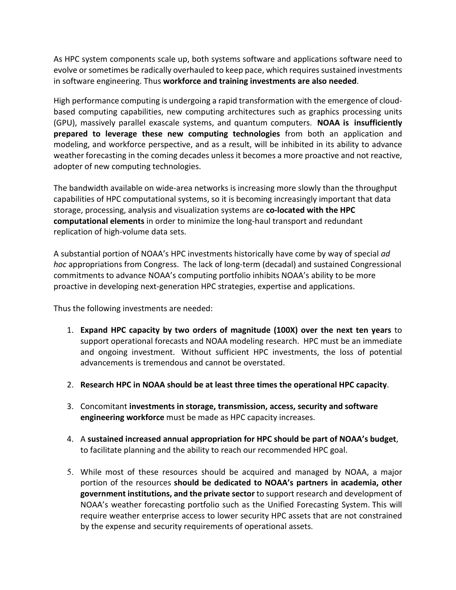As HPC system components scale up, both systems software and applications software need to evolve or sometimes be radically overhauled to keep pace, which requires sustained investments in software engineering. Thus **workforce and training investments are also needed**.

High performance computing is undergoing a rapid transformation with the emergence of cloudbased computing capabilities, new computing architectures such as graphics processing units (GPU), massively parallel exascale systems, and quantum computers. **NOAA is insufficiently prepared to leverage these new computing technologies** from both an application and modeling, and workforce perspective, and as a result, will be inhibited in its ability to advance weather forecasting in the coming decades unless it becomes a more proactive and not reactive, adopter of new computing technologies.

The bandwidth available on wide-area networks is increasing more slowly than the throughput capabilities of HPC computational systems, so it is becoming increasingly important that data storage, processing, analysis and visualization systems are **co-located with the HPC computational elements** in order to minimize the long-haul transport and redundant replication of high-volume data sets.

A substantial portion of NOAA's HPC investments historically have come by way of special *ad hoc* appropriations from Congress. The lack of long-term (decadal) and sustained Congressional commitments to advance NOAA's computing portfolio inhibits NOAA's ability to be more proactive in developing next-generation HPC strategies, expertise and applications.

Thus the following investments are needed:

- 1. **Expand HPC capacity by two orders of magnitude (100X) over the next ten years** to support operational forecasts and NOAA modeling research. HPC must be an immediate and ongoing investment. Without sufficient HPC investments, the loss of potential advancements is tremendous and cannot be overstated.
- 2. **Research HPC in NOAA should be at least three times the operational HPC capacity**.
- 3. Concomitant **investments in storage, transmission, access, security and software engineering workforce** must be made as HPC capacity increases.
- 4. A **sustained increased annual appropriation for HPC should be part of NOAA's budget**, to facilitate planning and the ability to reach our recommended HPC goal.
- 5. While most of these resources should be acquired and managed by NOAA, a major portion of the resources **should be dedicated to NOAA's partners in academia, other government institutions, and the private sector** to support research and development of NOAA's weather forecasting portfolio such as the Unified Forecasting System. This will require weather enterprise access to lower security HPC assets that are not constrained by the expense and security requirements of operational assets.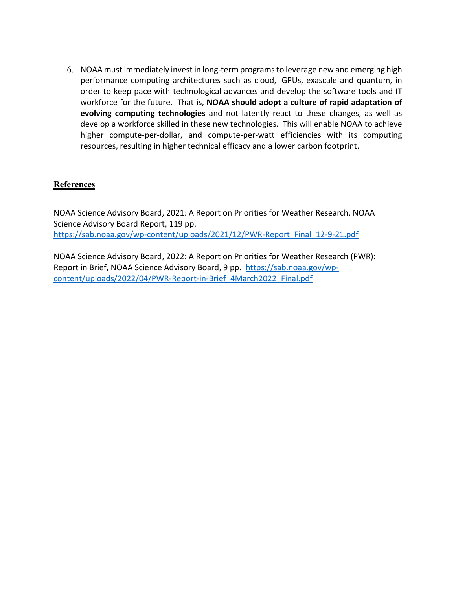6. NOAA must immediately invest in long-term programsto leverage new and emerging high performance computing architectures such as cloud, GPUs, exascale and quantum, in order to keep pace with technological advances and develop the software tools and IT workforce for the future. That is, **NOAA should adopt a culture of rapid adaptation of evolving computing technologies** and not latently react to these changes, as well as develop a workforce skilled in these new technologies. This will enable NOAA to achieve higher compute-per-dollar, and compute-per-watt efficiencies with its computing resources, resulting in higher technical efficacy and a lower carbon footprint.

## **References**

NOAA Science Advisory Board, 2021: A Report on Priorities for Weather Research. NOAA Science Advisory Board Report, 119 pp. [https://sab.noaa.gov/wp-content/uploads/2021/12/PWR-Report\\_Final\\_12-9-21.pdf](https://urldefense.com/v3/__https:/sab.noaa.gov/wp-content/uploads/2021/12/PWR-Report_Final_12-9-21.pdf__;!!GNU8KkXDZlD12Q!6EC3Fe1IfR_XYvLWUha3e3LxiVoYupKXDJOpyqlHvpvRf0RYCe426MmBha-A-IBUy1g3F28TMXYH6RRXrA$)

NOAA Science Advisory Board, 2022: A Report on Priorities for Weather Research (PWR): Report in Brief, NOAA Science Advisory Board, 9 pp. [https://sab.noaa.gov/wp](https://urldefense.com/v3/__https:/sab.noaa.gov/wp-content/uploads/2022/04/PWR-Report-in-Brief_4March2022_Final.pdf__;!!GNU8KkXDZlD12Q!6EC3Fe1IfR_XYvLWUha3e3LxiVoYupKXDJOpyqlHvpvRf0RYCe426MmBha-A-IBUy1g3F28TMXZAkJOrvQ$)[content/uploads/2022/04/PWR-Report-in-Brief\\_4March2022\\_Final.pdf](https://urldefense.com/v3/__https:/sab.noaa.gov/wp-content/uploads/2022/04/PWR-Report-in-Brief_4March2022_Final.pdf__;!!GNU8KkXDZlD12Q!6EC3Fe1IfR_XYvLWUha3e3LxiVoYupKXDJOpyqlHvpvRf0RYCe426MmBha-A-IBUy1g3F28TMXZAkJOrvQ$)